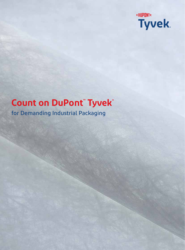

# **Count on DuPont™ Tyvek®**

for Demanding Industrial Packaging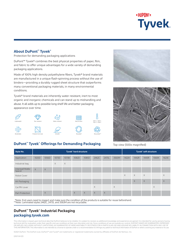# **«DUPONT» Tyvek.**

### **About DuPont™ Tyvek®**

Protection for demanding packaging applications

DuPont™ Tyvek® combines the best physical properties of paper, film, and fabric to offer unique advantages for a wide variety of demanding packaging applications.

Made of 100% high density polyethylene fibers, Tyvek® brand materials are manufactured in a unique flash-spinning process without the use of binders—providing a durably rugged sheet structure that outperforms many conventional packaging materials, in many environmental conditions.

Tyvek® brand materials are inherently water resistant, inert to most organic and inorganic chemicals and can stand up to mishandling and abuse. It all adds up to possible long shelf life and better packaging appearance over time.



## **DuPont™ Tyvek® Offerings for Demanding Packaging**





Top view (500x magnified)

| <b>Style No.</b>          | Tyvek® hard structure |          |          |          |          |          |          |       |          | Tyvek® soft structure |          |          |          |          |
|---------------------------|-----------------------|----------|----------|----------|----------|----------|----------|-------|----------|-----------------------|----------|----------|----------|----------|
| Application               | 1025D                 | 1056D    | 1073D    | 1073B    | 1082D    | 1085D    | 2462C    | 2473L | 3563M    | 1422A                 | 1442R    | 1443R    | 1560K    | 1623E    |
| Industrial bag            |                       |          | $\times$ | $\times$ |          |          |          |       |          |                       |          |          |          |          |
| Interleaf/Wafer<br>Spacer | $\times$              | $\times$ |          |          |          |          |          |       |          |                       |          |          |          |          |
| Robot Cover               |                       |          |          |          |          |          |          |       |          | $\times$              | $\times$ | $\times$ |          | $\times$ |
| Art Packaging             |                       |          |          |          |          |          |          |       |          |                       | $\times$ | $\times$ |          | $\times$ |
| Car/RV cover              |                       |          |          |          |          |          | $\times$ |       | $\times$ |                       |          |          | $\times$ |          |
| Part Protection           |                       | $\times$ |          |          | $\times$ | $\times$ | $\times$ | X     |          |                       |          |          |          |          |

 \*Note: End users need to inspect and make sure the condition of the products is suitable for reuse beforehand. \*\*Note: Laminated styles 2462C, 2473L and 3563M are not recyclable.

## **DuPont™ Tyvek® Industrial Packaging packaging.tyvek.com**

This information is based upon technical data that DuPont believes to be reliable. It is subject to revision as additional knowledge and experience are gained. It is intended for use by persons having technical skill for evaluation under their specific end-use conditions at their own discretion and risk. Since conditions of use are outside our control, DUPONT MAKES NO WARRANTIES, EXPRESSED OR IMPLIED, INCLUDING WITHOUT LIMITATIONS, NO WARRANTIES OF MERCHANTABILITY OR FITNESS FOR A PARTICULAR USE AND ASSUME NO LIABILITY IN CONNECTION WITH ANY USE OF THIS INFORMATION. This information is not intended as a license to operate under or a recommendation to infringe any patent or technical information of DuPont or others covering any material or its use.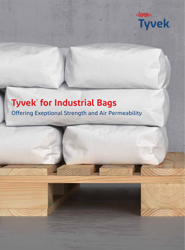

# **Tyvek® for Industrial Bags**

Offering Exeptional Strength and Air Permeability

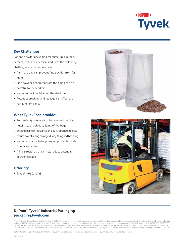# **«DIIPNNT» Tyvek.**

### **Key Challenges:**

For fine powder packaging manufactures in food, cement, fertilizer, chemical additives the following challenges are commonly faced:

- Air in the bag can prevent fine powder from fast filling
- Fine powder generated from the filling can be harmful to the workers
- Water contact could affect the shelf life
- Potential breaking and leakage can affect the handling efficiency

### **What Tyvek® can provide:**

- Permeability allows air to be removed quickly, helping to enable fast filling of the bags
- Exceptional tear resistance and burst strength to help reduce potential bag damage during filling and handling
- Water resistance to help protect products inside from water splash
- A fine structure that can help reduce potential powder leakage

### **Offering:**

Tyvek® 1073D, 1073B





## **DuPont™ Tyvek® Industrial Packaging packaging.tyvek.com**

This information is based upon technical data that DuPont believes to be reliable. It is subject to revision as additional knowledge and experience are gained. It is intended for use by persons having technical skill for evaluation under their specific end-use conditions at their own discretion and risk. Since conditions of use are outside our control, DUPONT MAKES NO WARRANTIES, EXPRESSED<br>OR IMPLIED, INCLUDING WITHOUT THIS INFORMATION. This information is not intended as a license to operate under or a recommendation to infringe any patent or technical information of DuPont or others covering any material or its use.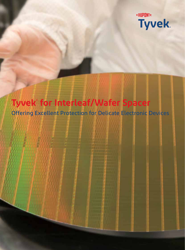

# **Tyvek® for Interleaf/Wafer Spacer**

Offering Excellent Protection for Delicate Electronic Devices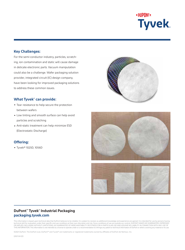

For the semi-conductor industry, particles, scratching, ion contamination and static will cause damage in delicate electronic parts. Vacuum manipulation could also be a challenge. Wafer packaging solution provider, integrated circuit (IC) design company, have been looking for improved packaging solutions to address these common issues.

#### **What Tyvek® can provide:**

- Tear resistance to help secure the protection between wafers
- Low linting and smooth surface can help avoid particles and scratching
- Anti-static treatment can help minimize ESD (Electrostatic Discharge)

### **Offering:**

Tyvek® 1025D, 1056D







## **DuPont™ Tyvek® Industrial Packaging packaging.tyvek.com**

This information is based upon technical data that DuPont believes to be reliable. It is subject to revision as additional knowledge and experience are gained. It is intended for use by persons having technical skill for evaluation under their specific end-use conditions at their own discretion and risk. Since conditions of use are outside our control, DUPONT MAKES NO WARRANTIES, EXPRESSED<br>OR IMPLIED, INCLUDING WITHOUT THIS INFORMATION. This information is not intended as a license to operate under or a recommendation to infringe any patent or technical information of DuPont or others covering any material or its use.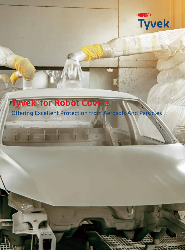

# **Tyvek® for Robot Covers**

## Offering Excellent Protection from Aerosols And Particles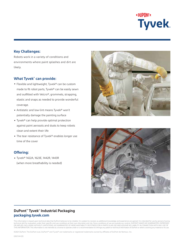

Robots work in a variety of conditions and environments where paint splashes and dirt are likely.

### **What Tyvek® can provide:**

- Flexible and lightweight, Tyvek® can be custom made to fit robot parts, Tyvek® can be easily sewn and outfitted with Velcro®, grommets, strapping, elastic and snaps as needed to provide wonderful coverage.
- Antistatic and low-lint means Tyvek® won't potentially damage the painting surface
- Tyvek® can help provide optimal protection against paint aerosols and dusts to keep robots clean and extent their life
- The tear resistance of Tyvek® enables longer use time of the cover

### **Offering:**

Tyvek® 1422A, 1623E, 1442R, 1443R (when more breathability is needed)





## **DuPont™ Tyvek® Industrial Packaging packaging.tyvek.com**

This information is based upon technical data that DuPont believes to be reliable. It is subject to revision as additional knowledge and experience are gained. It is intended for use by persons having technical skill for evaluation under their specific end-use conditions at their own discretion and risk. Since conditions of use are outside our control, DUPONT MAKES NO WARRANTIES, EXPRESSED<br>OR IMPLIED, INCLUDING WITHOUT THIS INFORMATION. This information is not intended as a license to operate under or a recommendation to infringe any patent or technical information of DuPont or others covering any material or its use.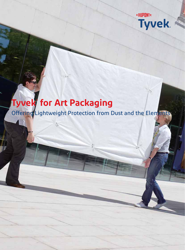

# **Tyvek® for Art Packaging**

Offering Lightweight Protection from Dust and the Elements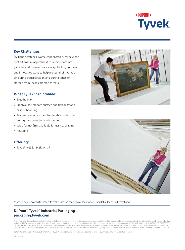

UV light, scratches, water, condensation, mildew and dust all pose a major threat to works of art. Art galleries and museums are always looking for new and innovative ways to help protect their works of art during transportation and during times of storage from these common threats.

### **What Tyvek® can provide:**

- Breathability
- Lightweight, smooth surface and flexibility and ease of handling
- Tear and water resistant for durable protection during transportation and storage
- Wide format (3m) available for easy packaging
- Reusable\*

### **Offering:**

Tyvek® 1623E, 1442R, 1443R





\*Note End users need to inspect to make sure the condition of the products is suitable for reuse beforehand.

## **DuPont™ Tyvek® Industrial Packaging packaging.tyvek.com**

This information is based upon technical data that DuPont believes to be reliable. It is subject to revision as additional knowledge and experience are gained. It is intended for use by persons having technical skill for evaluation under their specific end-use conditions at their own discretion and risk. Since conditions of use are outside our control, DUPONT MAKES NO WARRANTIES, EXPRESSED<br>OR IMPLIED, INCLUDING WITHOUT THIS INFORMATION. This information is not intended as a license to operate under or a recommendation to infringe any patent or technical information of DuPont or others covering any material or its use.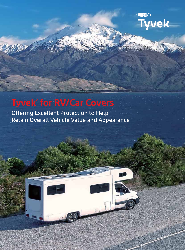**«OUPONT» Tyvek** 

## **Tyvek® for RV/Car Covers**

Offering Excellent Protection to Help Retain Overall Vehicle Value and Appearance

 $E\int$